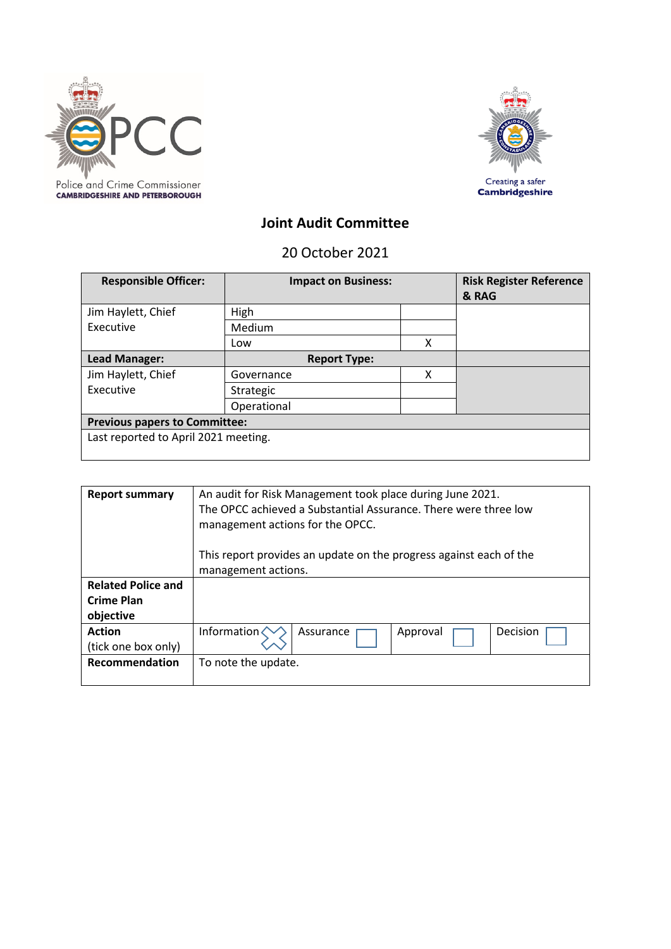



## **Joint Audit Committee**

20 October 2021

| <b>Responsible Officer:</b>          | <b>Impact on Business:</b> |   | <b>Risk Register Reference</b><br>& RAG |
|--------------------------------------|----------------------------|---|-----------------------------------------|
| Jim Haylett, Chief                   | High                       |   |                                         |
| Executive                            | Medium                     |   |                                         |
|                                      | Low                        | X |                                         |
| Lead Manager:                        | <b>Report Type:</b>        |   |                                         |
| Jim Haylett, Chief                   | Governance                 | χ |                                         |
| Executive                            | Strategic                  |   |                                         |
|                                      | Operational                |   |                                         |
| <b>Previous papers to Committee:</b> |                            |   |                                         |
| Last reported to April 2021 meeting. |                            |   |                                         |

| <b>Report summary</b>     | An audit for Risk Management took place during June 2021.<br>The OPCC achieved a Substantial Assurance. There were three low<br>management actions for the OPCC. |  |  |  |
|---------------------------|------------------------------------------------------------------------------------------------------------------------------------------------------------------|--|--|--|
|                           | This report provides an update on the progress against each of the                                                                                               |  |  |  |
|                           | management actions.                                                                                                                                              |  |  |  |
| <b>Related Police and</b> |                                                                                                                                                                  |  |  |  |
| <b>Crime Plan</b>         |                                                                                                                                                                  |  |  |  |
| objective                 |                                                                                                                                                                  |  |  |  |
| <b>Action</b>             | Information $\langle$<br><b>Decision</b><br>Approval<br>Assurance                                                                                                |  |  |  |
| (tick one box only)       |                                                                                                                                                                  |  |  |  |
| Recommendation            | To note the update.                                                                                                                                              |  |  |  |
|                           |                                                                                                                                                                  |  |  |  |